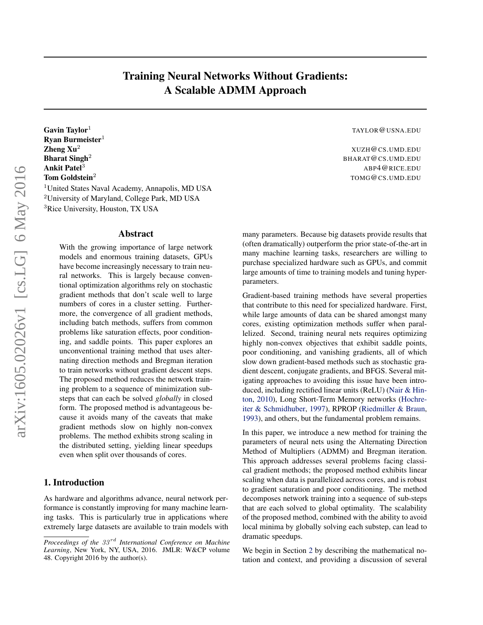# Training Neural Networks Without Gradients: A Scalable ADMM Approach

Gavin Taylor<sup>1</sup> TAYLOR **@USNA.EDU** Ryan Burmeister $1$ **Zheng Xu<sup>2</sup>** XUZH@CS.UMD.EDU **Bharat Singh<sup>2</sup>** BHARAT @CS.UMD.EDU Ankit Patel<sup>3</sup> ABP4@RICE.EDU Tom Goldstein<sup>2</sup> TOMG@CS.UMD.EDU <sup>1</sup>United States Naval Academy, Annapolis, MD USA <sup>2</sup>University of Maryland, College Park, MD USA <sup>3</sup>Rice University, Houston, TX USA

### Abstract

With the growing importance of large network models and enormous training datasets, GPUs have become increasingly necessary to train neural networks. This is largely because conventional optimization algorithms rely on stochastic gradient methods that don't scale well to large numbers of cores in a cluster setting. Furthermore, the convergence of all gradient methods, including batch methods, suffers from common problems like saturation effects, poor conditioning, and saddle points. This paper explores an unconventional training method that uses alternating direction methods and Bregman iteration to train networks without gradient descent steps. The proposed method reduces the network training problem to a sequence of minimization substeps that can each be solved *globally* in closed form. The proposed method is advantageous because it avoids many of the caveats that make gradient methods slow on highly non-convex problems. The method exhibits strong scaling in the distributed setting, yielding linear speedups even when split over thousands of cores.

### 1. Introduction

As hardware and algorithms advance, neural network performance is constantly improving for many machine learning tasks. This is particularly true in applications where extremely large datasets are available to train models with

many parameters. Because big datasets provide results that (often dramatically) outperform the prior state-of-the-art in many machine learning tasks, researchers are willing to purchase specialized hardware such as GPUs, and commit large amounts of time to training models and tuning hyperparameters.

Gradient-based training methods have several properties that contribute to this need for specialized hardware. First, while large amounts of data can be shared amongst many cores, existing optimization methods suffer when parallelized. Second, training neural nets requires optimizing highly non-convex objectives that exhibit saddle points, poor conditioning, and vanishing gradients, all of which slow down gradient-based methods such as stochastic gradient descent, conjugate gradients, and BFGS. Several mitigating approaches to avoiding this issue have been introduced, including rectified linear units (ReLU) [\(Nair & Hin](#page-8-0)[ton,](#page-8-0) [2010\)](#page-8-0), Long Short-Term Memory networks [\(Hochre](#page-8-0)[iter & Schmidhuber,](#page-8-0) [1997\)](#page-8-0), RPROP [\(Riedmiller & Braun,](#page-8-0) [1993\)](#page-8-0), and others, but the fundamental problem remains.

In this paper, we introduce a new method for training the parameters of neural nets using the Alternating Direction Method of Multipliers (ADMM) and Bregman iteration. This approach addresses several problems facing classical gradient methods; the proposed method exhibits linear scaling when data is parallelized across cores, and is robust to gradient saturation and poor conditioning. The method decomposes network training into a sequence of sub-steps that are each solved to global optimality. The scalability of the proposed method, combined with the ability to avoid local minima by globally solving each substep, can lead to dramatic speedups.

We begin in Section [2](#page-1-0) by describing the mathematical notation and context, and providing a discussion of several

*Proceedings of the 33<sup>rd</sup> International Conference on Machine Learning*, New York, NY, USA, 2016. JMLR: W&CP volume 48. Copyright 2016 by the author(s).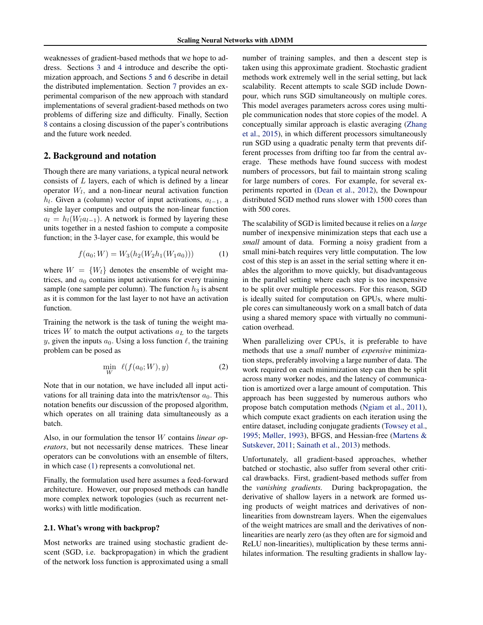<span id="page-1-0"></span>weaknesses of gradient-based methods that we hope to address. Sections [3](#page-2-0) and [4](#page-3-0) introduce and describe the optimization approach, and Sections [5](#page-4-0) and [6](#page-5-0) describe in detail the distributed implementation. Section [7](#page-5-0) provides an experimental comparison of the new approach with standard implementations of several gradient-based methods on two problems of differing size and difficulty. Finally, Section [8](#page-7-0) contains a closing discussion of the paper's contributions and the future work needed.

# 2. Background and notation

Though there are many variations, a typical neural network consists of  $L$  layers, each of which is defined by a linear operator  $W_l$ , and a non-linear neural activation function  $h_l$ . Given a (column) vector of input activations,  $a_{l-1}$ , a single layer computes and outputs the non-linear function  $a_l = h_l(W_l a_{l-1})$ . A network is formed by layering these units together in a nested fashion to compute a composite function; in the 3-layer case, for example, this would be

$$
f(a_0; W) = W_3(h_2(W_2h_1(W_1a_0)))
$$
 (1)

where  $W = \{W_l\}$  denotes the ensemble of weight matrices, and  $a_0$  contains input activations for every training sample (one sample per column). The function  $h_3$  is absent as it is common for the last layer to not have an activation function.

Training the network is the task of tuning the weight matrices  $W$  to match the output activations  $a<sub>L</sub>$  to the targets y, given the inputs  $a_0$ . Using a loss function  $\ell$ , the training problem can be posed as

$$
\min_{W} \ell(f(a_0; W), y) \tag{2}
$$

Note that in our notation, we have included all input activations for all training data into the matrix/tensor  $a_0$ . This notation benefits our discussion of the proposed algorithm, which operates on all training data simultaneously as a batch.

Also, in our formulation the tensor W contains *linear operators*, but not necessarily dense matrices. These linear operators can be convolutions with an ensemble of filters, in which case (1) represents a convolutional net.

Finally, the formulation used here assumes a feed-forward architecture. However, our proposed methods can handle more complex network topologies (such as recurrent networks) with little modification.

#### 2.1. What's wrong with backprop?

Most networks are trained using stochastic gradient descent (SGD, i.e. backpropagation) in which the gradient of the network loss function is approximated using a small number of training samples, and then a descent step is taken using this approximate gradient. Stochastic gradient methods work extremely well in the serial setting, but lack scalability. Recent attempts to scale SGD include Downpour, which runs SGD simultaneously on multiple cores. This model averages parameters across cores using multiple communication nodes that store copies of the model. A conceptually similar approach is elastic averaging [\(Zhang](#page-9-0) [et al.,](#page-9-0) [2015\)](#page-9-0), in which different processors simultaneously run SGD using a quadratic penalty term that prevents different processes from drifting too far from the central average. These methods have found success with modest numbers of processors, but fail to maintain strong scaling for large numbers of cores. For example, for several experiments reported in [\(Dean et al.,](#page-8-0) [2012\)](#page-8-0), the Downpour distributed SGD method runs slower with 1500 cores than with 500 cores.

The scalability of SGD is limited because it relies on a *large* number of inexpensive minimization steps that each use a *small* amount of data. Forming a noisy gradient from a small mini-batch requires very little computation. The low cost of this step is an asset in the serial setting where it enables the algorithm to move quickly, but disadvantageous in the parallel setting where each step is too inexpensive to be split over multiple processors. For this reason, SGD is ideally suited for computation on GPUs, where multiple cores can simultaneously work on a small batch of data using a shared memory space with virtually no communication overhead.

When parallelizing over CPUs, it is preferable to have methods that use a *small* number of *expensive* minimization steps, preferably involving a large number of data. The work required on each minimization step can then be split across many worker nodes, and the latency of communication is amortized over a large amount of computation. This approach has been suggested by numerous authors who propose batch computation methods [\(Ngiam et al.,](#page-8-0) [2011\)](#page-8-0), which compute exact gradients on each iteration using the entire dataset, including conjugate gradients [\(Towsey et al.,](#page-9-0) [1995;](#page-9-0) [Møller,](#page-8-0) [1993\)](#page-8-0), BFGS, and Hessian-free [\(Martens &](#page-8-0) [Sutskever,](#page-8-0) [2011;](#page-8-0) [Sainath et al.,](#page-8-0) [2013\)](#page-8-0) methods.

Unfortunately, all gradient-based approaches, whether batched or stochastic, also suffer from several other critical drawbacks. First, gradient-based methods suffer from the *vanishing gradients.* During backpropagation, the derivative of shallow layers in a network are formed using products of weight matrices and derivatives of nonlinearities from downstream layers. When the eigenvalues of the weight matrices are small and the derivatives of nonlinearities are nearly zero (as they often are for sigmoid and ReLU non-linearities), multiplication by these terms annihilates information. The resulting gradients in shallow lay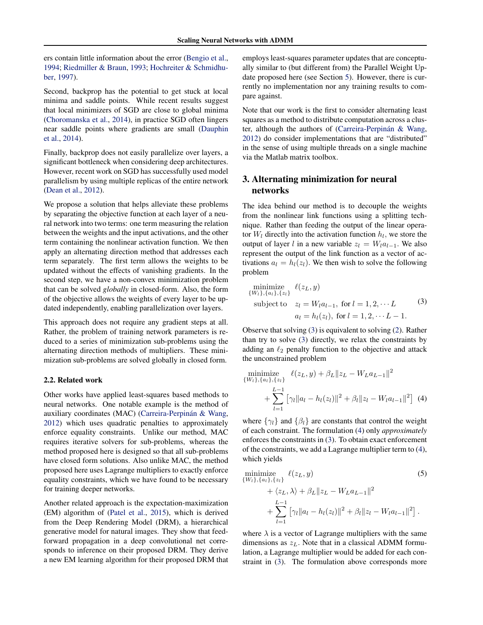<span id="page-2-0"></span>ers contain little information about the error [\(Bengio et al.,](#page-8-0) [1994;](#page-8-0) [Riedmiller & Braun,](#page-8-0) [1993;](#page-8-0) [Hochreiter & Schmidhu](#page-8-0)[ber,](#page-8-0) [1997\)](#page-8-0).

Second, backprop has the potential to get stuck at local minima and saddle points. While recent results suggest that local minimizers of SGD are close to global minima [\(Choromanska et al.,](#page-8-0) [2014\)](#page-8-0), in practice SGD often lingers near saddle points where gradients are small [\(Dauphin](#page-8-0) [et al.,](#page-8-0) [2014\)](#page-8-0).

Finally, backprop does not easily parallelize over layers, a significant bottleneck when considering deep architectures. However, recent work on SGD has successfully used model parallelism by using multiple replicas of the entire network [\(Dean et al.,](#page-8-0) [2012\)](#page-8-0).

We propose a solution that helps alleviate these problems by separating the objective function at each layer of a neural network into two terms: one term measuring the relation between the weights and the input activations, and the other term containing the nonlinear activation function. We then apply an alternating direction method that addresses each term separately. The first term allows the weights to be updated without the effects of vanishing gradients. In the second step, we have a non-convex minimization problem that can be solved *globally* in closed-form. Also, the form of the objective allows the weights of every layer to be updated independently, enabling parallelization over layers.

This approach does not require any gradient steps at all. Rather, the problem of training network parameters is reduced to a series of minimization sub-problems using the alternating direction methods of multipliers. These minimization sub-problems are solved globally in closed form.

#### 2.2. Related work

Other works have applied least-squares based methods to neural networks. One notable example is the method of auxiliary coordinates (MAC) (Carreira-Perpinán & Wang, [2012\)](#page-8-0) which uses quadratic penalties to approximately enforce equality constraints. Unlike our method, MAC requires iterative solvers for sub-problems, whereas the method proposed here is designed so that all sub-problems have closed form solutions. Also unlike MAC, the method proposed here uses Lagrange multipliers to exactly enforce equality constraints, which we have found to be necessary for training deeper networks.

Another related approach is the expectation-maximization (EM) algorithm of [\(Patel et al.,](#page-8-0) [2015\)](#page-8-0), which is derived from the Deep Rendering Model (DRM), a hierarchical generative model for natural images. They show that feedforward propagation in a deep convolutional net corresponds to inference on their proposed DRM. They derive a new EM learning algorithm for their proposed DRM that

employs least-squares parameter updates that are conceptually similar to (but different from) the Parallel Weight Update proposed here (see Section [5\)](#page-4-0). However, there is currently no implementation nor any training results to compare against.

Note that our work is the first to consider alternating least squares as a method to distribute computation across a cluster, although the authors of (Carreira-Perpinan  $\&$  Wang, [2012\)](#page-8-0) do consider implementations that are "distributed" in the sense of using multiple threads on a single machine via the Matlab matrix toolbox.

# 3. Alternating minimization for neural networks

The idea behind our method is to decouple the weights from the nonlinear link functions using a splitting technique. Rather than feeding the output of the linear operator  $W_l$  directly into the activation function  $h_l$ , we store the output of layer l in a new variable  $z_l = W_l a_{l-1}$ . We also represent the output of the link function as a vector of activations  $a_l = h_l(z_l)$ . We then wish to solve the following problem

minimize 
$$
\ell(z_L, y)
$$
  
\n $\{W_l\}, \{a_l\}, \{z_l\}$   $\ell(z_L, y)$   
\nsubject to  $z_l = W_l a_{l-1}$ , for  $l = 1, 2, \dots L$  (3)  
\n $a_l = h_l(z_l)$ , for  $l = 1, 2, \dots L - 1$ .

Observe that solving (3) is equivalent to solving [\(2\)](#page-1-0). Rather than try to solve (3) directly, we relax the constraints by adding an  $\ell_2$  penalty function to the objective and attack the unconstrained problem

minimize  
\n
$$
\{\{w_l\}, \{a_l\}, \{z_l\} \in \mathcal{U}(z_L, y) + \beta_L \|z_L - W_L a_{L-1}\|^2 + \sum_{l=1}^{L-1} \left[ \gamma_l \|a_l - h_l(z_l)\|^2 + \beta_l \|z_l - W_l a_{l-1}\|^2 \right] \tag{4}
$$

where  $\{\gamma_l\}$  and  $\{\beta_l\}$  are constants that control the weight of each constraint. The formulation (4) only *approximately* enforces the constraints in (3). To obtain exact enforcement of the constraints, we add a Lagrange multiplier term to (4), which yields

minimize  
\n
$$
\{W_l\}, \{a_l\}, \{z_l\} \quad \{(z_L, y) \quad (5)
$$
\n
$$
+ \langle z_L, \lambda \rangle + \beta_L \|z_L - W_L a_{L-1}\|^2
$$
\n
$$
+ \sum_{l=1}^{L-1} [\gamma_l \|a_l - h_l(z_l)\|^2 + \beta_l \|z_l - W_l a_{l-1}\|^2].
$$

where  $\lambda$  is a vector of Lagrange multipliers with the same dimensions as  $z_L$ . Note that in a classical ADMM formulation, a Lagrange multiplier would be added for each constraint in (3). The formulation above corresponds more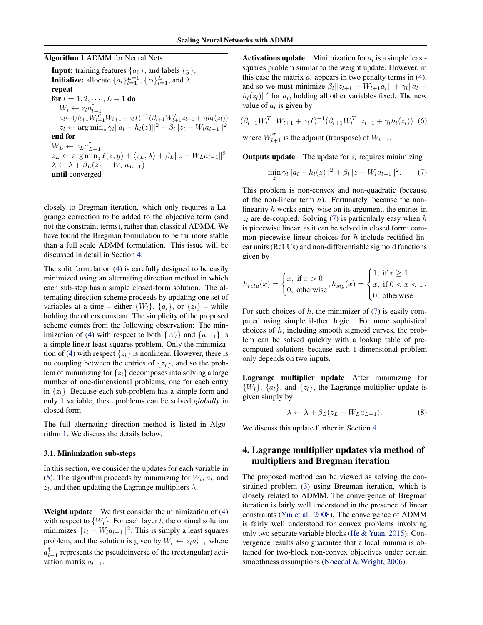<span id="page-3-0"></span>Algorithm 1 ADMM for Neural Nets

**Input:** training features  $\{a_0\}$ , and labels  $\{y\}$ , **Initialize:** allocate  $\{a_l\}_{l=1}^{L=1}$ ,  $\{z_l\}_{l=1}^L$ , and  $\lambda$ repeat for  $l = 1, 2, \cdots, L - 1$  do  $W_l \leftarrow z_l a_{l-1}^{\dagger}$ <br>  $a_l \leftarrow (\beta_{l+1} W_{l+1}^T W_{l+1} + \gamma_l I)^{-1} (\beta_{l+1} W_{l+1}^T z_{l+1} + \gamma_l h_l(z_l))$  $z_l \leftarrow \arg \min_z \gamma_l \|a_l - h_l(z)\|^2 + \beta_l \|z_l - W_l a_{l-1}\|^2$ end for  $W_L \leftarrow z_L a_{L-1}^{\dagger}$  $z_L \leftarrow \arg \min_z \ell(z, y) + \langle z_L, \lambda \rangle + \beta_L ||z - W_L a_{l-1}||^2$  $\lambda \leftarrow \lambda + \beta_L(z_L - W_L a_{L-1})$ until converged

closely to Bregman iteration, which only requires a Lagrange correction to be added to the objective term (and not the constraint terms), rather than classical ADMM. We have found the Bregman formulation to be far more stable than a full scale ADMM formulation. This issue will be discussed in detail in Section 4.

The split formulation [\(4\)](#page-2-0) is carefully designed to be easily minimized using an alternating direction method in which each sub-step has a simple closed-form solution. The alternating direction scheme proceeds by updating one set of variables at a time – either  $\{W_l\}$ ,  $\{a_l\}$ , or  $\{z_l\}$  – while holding the others constant. The simplicity of the proposed scheme comes from the following observation: The min-imization of [\(4\)](#page-2-0) with respect to both  $\{W_l\}$  and  $\{a_{l-1}\}\$ is a simple linear least-squares problem. Only the minimiza-tion of [\(4\)](#page-2-0) with respect  $\{z_l\}$  is nonlinear. However, there is no coupling between the entries of  $\{z_l\}$ , and so the problem of minimizing for  $\{z_l\}$  decomposes into solving a large number of one-dimensional problems, one for each entry in  $\{z_l\}$ . Because each sub-problem has a simple form and only 1 variable, these problems can be solved *globally* in closed form.

The full alternating direction method is listed in Algorithm 1. We discuss the details below.

#### 3.1. Minimization sub-steps

In this section, we consider the updates for each variable in [\(5\)](#page-2-0). The algorithm proceeds by minimizing for  $W_l$ ,  $a_l$ , and  $z_l$ , and then updating the Lagrange multipliers  $\lambda$ .

Weight update We first consider the minimization of [\(4\)](#page-2-0) with respect to  $\{W_l\}$ . For each layer l, the optimal solution minimizes  $||z_l - W_l a_{l-1}||^2$ . This is simply a least squares problem, and the solution is given by  $W_l \leftarrow z_l a_{l-1}^{\dagger}$  where  $a_{l-1}^{\dagger}$  represents the pseudoinverse of the (rectangular) activation matrix  $a_{l-1}$ .

**Activations update** Minimization for  $a_l$  is a simple leastsquares problem similar to the weight update. However, in this case the matrix  $a_l$  appears in two penalty terms in [\(4\)](#page-2-0), and so we must minimize  $\beta_l ||z_{l+1} - W_{l+1}a_l|| + \gamma_l ||a_l |h_l(z_l)|^2$  for  $a_l$ , holding all other variables fixed. The new value of  $a_l$  is given by

$$
(\beta_{l+1}W_{l+1}^TW_{l+1} + \gamma_l I)^{-1}(\beta_{l+1}W_{l+1}^T z_{l+1} + \gamma_l h_l(z_l)) \tag{6}
$$

where  $W_{l+1}^T$  is the adjoint (transpose) of  $W_{l+1}$ .

**Outputs update** The update for  $z_l$  requires minimizing

$$
\min_{z} \gamma_l \|a_l - h_l(z)\|^2 + \beta_l \|z - W_l a_{l-1}\|^2. \tag{7}
$$

This problem is non-convex and non-quadratic (because of the non-linear term  $h$ ). Fortunately, because the nonlinearity h works entry-wise on its argument, the entries in  $z_1$  are de-coupled. Solving (7) is particularly easy when h is piecewise linear, as it can be solved in closed form; common piecewise linear choices for  $h$  include rectified linear units (ReLUs) and non-differentiable sigmoid functions given by

$$
h_{relu}(x) = \begin{cases} x, & \text{if } x > 0 \\ 0, & \text{otherwise} \end{cases}, h_{sig}(x) = \begin{cases} 1, & \text{if } x \ge 1 \\ x, & \text{if } 0 < x < 1 \\ 0, & \text{otherwise} \end{cases}.
$$

For such choices of  $h$ , the minimizer of (7) is easily computed using simple if-then logic. For more sophistical choices of  $h$ , including smooth sigmoid curves, the problem can be solved quickly with a lookup table of precomputed solutions because each 1-dimensional problem only depends on two inputs.

Lagrange multiplier update After minimizing for  $\{W_l\}, \{a_l\}, \text{ and } \{z_l\}, \text{ the Lagrange multiplier update is }$ given simply by

$$
\lambda \leftarrow \lambda + \beta_L (z_L - W_L a_{L-1}). \tag{8}
$$

We discuss this update further in Section 4.

# 4. Lagrange multiplier updates via method of multipliers and Bregman iteration

The proposed method can be viewed as solving the constrained problem [\(3\)](#page-2-0) using Bregman iteration, which is closely related to ADMM. The convergence of Bregman iteration is fairly well understood in the presence of linear constraints [\(Yin et al.,](#page-9-0) [2008\)](#page-9-0). The convergence of ADMM is fairly well understood for convex problems involving only two separate variable blocks [\(He & Yuan,](#page-8-0) [2015\)](#page-8-0). Convergence results also guarantee that a local minima is obtained for two-block non-convex objectives under certain smoothness assumptions [\(Nocedal & Wright,](#page-8-0) [2006\)](#page-8-0).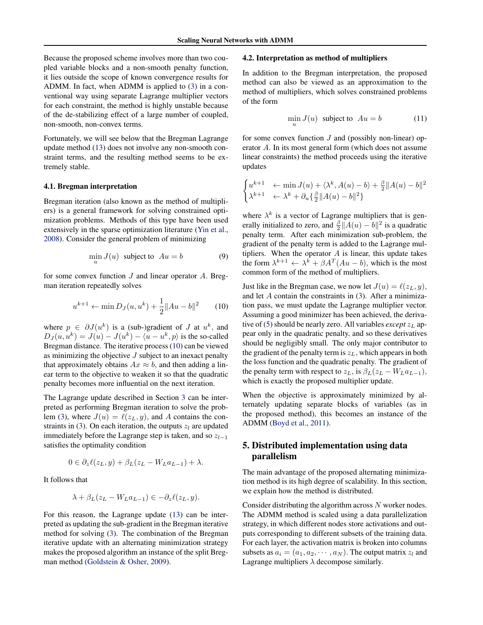<span id="page-4-0"></span>Because the proposed scheme involves more than two coupled variable blocks and a non-smooth penalty function, it lies outside the scope of known convergence results for ADMM. In fact, when ADMM is applied to [\(3\)](#page-2-0) in a conventional way using separate Lagrange multiplier vectors for each constraint, the method is highly unstable because of the de-stabilizing effect of a large number of coupled, non-smooth, non-convex terms.

Fortunately, we will see below that the Bregman Lagrange update method [\(13\)](#page-5-0) does not involve any non-smooth constraint terms, and the resulting method seems to be extremely stable.

#### 4.1. Bregman interpretation

Bregman iteration (also known as the method of multipliers) is a general framework for solving constrained optimization problems. Methods of this type have been used extensively in the sparse optimization literature [\(Yin et al.,](#page-9-0) [2008\)](#page-9-0). Consider the general problem of minimizing

$$
\min_{u} J(u) \text{ subject to } Au = b \tag{9}
$$

for some convex function  $J$  and linear operator  $A$ . Bregman iteration repeatedly solves

$$
u^{k+1} \leftarrow \min D_J(u, u^k) + \frac{1}{2} ||Au - b||^2 \qquad (10)
$$

where  $p \in \partial J(u^k)$  is a (sub-)gradient of J at  $u^k$ , and  $D_J(u, u^k) = J(u) - J(u^k) - \langle u - u^k, p \rangle$  is the so-called Bregman distance. The iterative process (10) can be viewed as minimizing the objective  $J$  subject to an inexact penalty that approximately obtains  $Ax \approx b$ , and then adding a linear term to the objective to weaken it so that the quadratic penalty becomes more influential on the next iteration.

The Lagrange update described in Section [3](#page-2-0) can be interpreted as performing Bregman iteration to solve the prob-lem [\(3\)](#page-2-0), where  $J(u) = \ell(z_L, y)$ , and A contains the con-straints in [\(3\)](#page-2-0). On each iteration, the outputs  $z_l$  are updated immediately before the Lagrange step is taken, and so  $z_{l-1}$ satisfies the optimality condition

$$
0 \in \partial_z \ell(z_L, y) + \beta_L (z_L - W_L a_{L-1}) + \lambda.
$$

It follows that

$$
\lambda + \beta_L(z_L - W_L a_{L-1}) \in -\partial_z \ell(z_L, y).
$$

For this reason, the Lagrange update [\(13\)](#page-5-0) can be interpreted as updating the sub-gradient in the Bregman iterative method for solving [\(3\)](#page-2-0). The combination of the Bregman iterative update with an alternating minimization strategy makes the proposed algorithm an instance of the split Bregman method [\(Goldstein & Osher,](#page-8-0) [2009\)](#page-8-0).

#### 4.2. Interpretation as method of multipliers

In addition to the Bregman interpretation, the proposed method can also be viewed as an approximation to the method of multipliers, which solves constrained problems of the form

$$
\min_{u} J(u) \text{ subject to } Au = b \tag{11}
$$

for some convex function  $J$  and (possibly non-linear) operator A. In its most general form (which does not assume linear constraints) the method proceeds using the iterative updates

$$
\begin{cases} u^{k+1} & \leftarrow \min J(u) + \langle \lambda^k, A(u) - b \rangle + \frac{\beta}{2} \| A(u) - b \|^2 \\ \lambda^{k+1} & \leftarrow \lambda^k + \partial_u \{ \frac{\beta}{2} \| A(u) - b \|^2 \} \end{cases}
$$

where  $\lambda^k$  is a vector of Lagrange multipliers that is generally initialized to zero, and  $\frac{\beta}{2} \|\overline{A}(u) - b\|^2$  is a quadratic penalty term. After each minimization sub-problem, the gradient of the penalty term is added to the Lagrange multipliers. When the operator  $A$  is linear, this update takes the form  $\lambda^{k+1} \leftarrow \lambda^k + \beta A^T (Au - b)$ , which is the most common form of the method of multipliers.

Just like in the Bregman case, we now let  $J(u) = \ell(z_L, y)$ , and let A contain the constraints in [\(3\)](#page-2-0). After a minimization pass, we must update the Lagrange multiplier vector. Assuming a good minimizer has been achieved, the derivative of  $(5)$  should be nearly zero. All variables *except*  $z<sub>L</sub>$  appear only in the quadratic penalty, and so these derivatives should be negligibly small. The only major contributor to the gradient of the penalty term is  $z_L$ , which appears in both the loss function and the quadratic penalty. The gradient of the penalty term with respect to  $z_L$ , is  $\beta_L(z_L - W_L a_{L-1})$ , which is exactly the proposed multiplier update.

When the objective is approximately minimized by alternately updating separate blocks of variables (as in the proposed method), this becomes an instance of the ADMM [\(Boyd et al.,](#page-8-0) [2011\)](#page-8-0).

# 5. Distributed implementation using data parallelism

The main advantage of the proposed alternating minimization method is its high degree of scalability. In this section, we explain how the method is distributed.

Consider distributing the algorithm across N worker nodes. The ADMM method is scaled using a data parallelization strategy, in which different nodes store activations and outputs corresponding to different subsets of the training data. For each layer, the activation matrix is broken into columns subsets as  $a_i = (a_1, a_2, \cdots, a_N)$ . The output matrix  $z_i$  and Lagrange multipliers  $\lambda$  decompose similarly.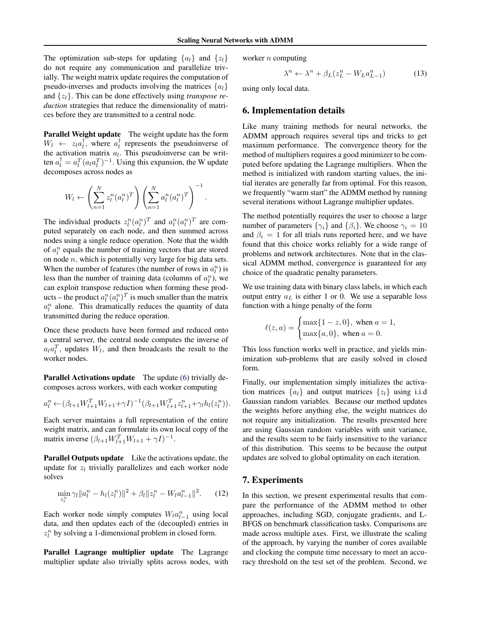<span id="page-5-0"></span>The optimization sub-steps for updating  $\{a_l\}$  and  $\{z_l\}$ do not require any communication and parallelize trivially. The weight matrix update requires the computation of pseudo-inverses and products involving the matrices  $\{a_l\}$ and {zl}. This can be done effectively using *transpose reduction* strategies that reduce the dimensionality of matrices before they are transmitted to a central node.

Parallel Weight update The weight update has the form  $W_l \leftarrow z_l a_l^{\dagger}$ , where  $a_l^{\dagger}$  represents the pseudoinverse of the activation matrix  $a_l$ . This pseudoinverse can be written  $a_l^{\dagger} = a_l^T (a_l a_l^T)^{-1}$ . Using this expansion, the W update decomposes across nodes as

$$
W_l \leftarrow \left(\sum_{n=1}^N z_l^n (a_l^n)^T\right) \left(\sum_{n=1}^N a_l^n (a_l^n)^T\right)^{-1}.
$$

The individual products  $z_l^n(a_l^n)^T$  and  $a_l^n(a_l^n)^T$  are computed separately on each node, and then summed across nodes using a single reduce operation. Note that the width of  $a_l^n$  equals the number of training vectors that are stored on node  $n$ , which is potentially very large for big data sets. When the number of features (the number of rows in  $a_l^n$ ) is less than the number of training data (columns of  $a_l^n$ ), we can exploit transpose reduction when forming these products – the product  $a_l^n(a_l^n)^T$  is much smaller than the matrix  $a_l^n$  alone. This dramatically reduces the quantity of data transmitted during the reduce operation.

Once these products have been formed and reduced onto a central server, the central node computes the inverse of  $a_l a_l^T$ , updates  $W_l$ , and then broadcasts the result to the worker nodes.

Parallel Activations update The update [\(6\)](#page-3-0) trivially decomposes across workers, with each worker computing

$$
a_l^n \leftarrow (\beta_{l+1} W_{l+1}^T W_{l+1} + \gamma I)^{-1} (\beta_{l+1} W_{l+1}^T z_{l+1}^n + \gamma_l h_l(z_l^n)).
$$

Each server maintains a full representation of the entire weight matrix, and can formulate its own local copy of the matrix inverse  $(\beta_{l+1} W_{l+1}^T W_{l+1} + \gamma I)^{-1}$ .

Parallel Outputs update Like the activations update, the update for  $z_l$  trivially parallelizes and each worker node solves

$$
\min_{z_l^n} \gamma_l \|a_l^n - h_l(z_l^n)\|^2 + \beta_l \|z_l^n - W_l a_{l-1}^n\|^2. \tag{12}
$$

Each worker node simply computes  $W_l a_{l-1}^n$  using local data, and then updates each of the (decoupled) entries in  $z_l^n$  by solving a 1-dimensional problem in closed form.

Parallel Lagrange multiplier update The Lagrange multiplier update also trivially splits across nodes, with worker  $n$  computing

$$
\lambda^n \leftarrow \lambda^n + \beta_L (z_L^n - W_L a_{L-1}^n) \tag{13}
$$

using only local data.

## 6. Implementation details

Like many training methods for neural networks, the ADMM approach requires several tips and tricks to get maximum performance. The convergence theory for the method of multipliers requires a good minimizer to be computed before updating the Lagrange multipliers. When the method is initialized with random starting values, the initial iterates are generally far from optimal. For this reason, we frequently "warm start" the ADMM method by running several iterations without Lagrange multiplier updates.

The method potentially requires the user to choose a large number of parameters  $\{\gamma_i\}$  and  $\{\beta_i\}$ . We choose  $\gamma_i = 10$ and  $\beta_i = 1$  for all trials runs reported here, and we have found that this choice works reliably for a wide range of problems and network architectures. Note that in the classical ADMM method, convergence is guaranteed for any choice of the quadratic penalty parameters.

We use training data with binary class labels, in which each output entry  $a<sub>L</sub>$  is either 1 or 0. We use a separable loss function with a hinge penalty of the form

$$
\ell(z, a) = \begin{cases} \max\{1 - z, 0\}, & \text{when } a = 1, \\ \max\{a, 0\}, & \text{when } a = 0. \end{cases}
$$

This loss function works well in practice, and yields minimization sub-problems that are easily solved in closed form.

Finally, our implementation simply initializes the activation matrices  $\{a_i\}$  and output matrices  $\{z_i\}$  using i.i.d Gaussian random variables. Because our method updates the weights before anything else, the weight matrices do not require any initialization. The results presented here are using Gaussian random variables with unit variance, and the results seem to be fairly insensitive to the variance of this distribution. This seems to be because the output updates are solved to global optimality on each iteration.

### 7. Experiments

In this section, we present experimental results that compare the performance of the ADMM method to other approaches, including SGD, conjugate gradients, and L-BFGS on benchmark classification tasks. Comparisons are made across multiple axes. First, we illustrate the scaling of the approach, by varying the number of cores available and clocking the compute time necessary to meet an accuracy threshold on the test set of the problem. Second, we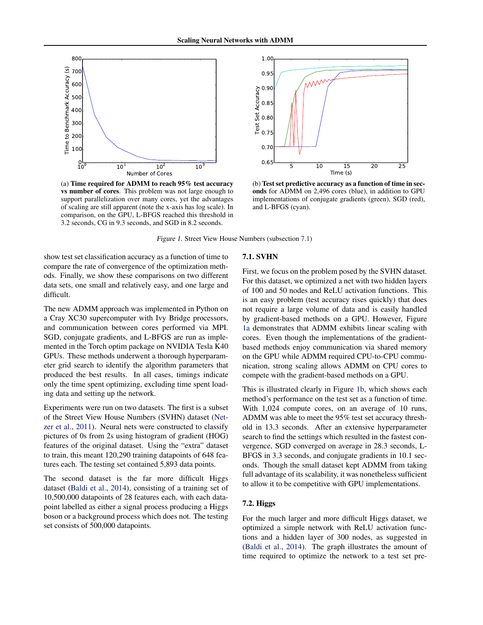1.00

<span id="page-6-0"></span>

5 10 15 20 25 Time (s) 0.65 0.70 0.75 0.80 0.85 Test Set Accuracy<br>0.90<br>0.90<br>0.75 0.95

(a) Time required for ADMM to reach 95% test accuracy vs number of cores. This problem was not large enough to support parallelization over many cores, yet the advantages of scaling are still apparent (note the x-axis has log scale). In comparison, on the GPU, L-BFGS reached this threshold in 3.2 seconds, CG in 9.3 seconds, and SGD in 8.2 seconds.

(b) Test set predictive accuracy as a function of time in seconds for ADMM on 2,496 cores (blue), in addition to GPU implementations of conjugate gradients (green), SGD (red), and L-BFGS (cyan).

Figure 1. Street View House Numbers (subsection 7.1)

show test set classification accuracy as a function of time to compare the rate of convergence of the optimization methods. Finally, we show these comparisons on two different data sets, one small and relatively easy, and one large and difficult.

The new ADMM approach was implemented in Python on a Cray XC30 supercomputer with Ivy Bridge processors, and communication between cores performed via MPI. SGD, conjugate gradients, and L-BFGS are run as implemented in the Torch optim package on NVIDIA Tesla K40 GPUs. These methods underwent a thorough hyperparameter grid search to identify the algorithm parameters that produced the best results. In all cases, timings indicate only the time spent optimizing, excluding time spent loading data and setting up the network.

Experiments were run on two datasets. The first is a subset of the Street View House Numbers (SVHN) dataset [\(Net](#page-8-0)[zer et al.,](#page-8-0) [2011\)](#page-8-0). Neural nets were constructed to classify pictures of 0s from 2s using histogram of gradient (HOG) features of the original dataset. Using the "extra" dataset to train, this meant 120,290 training datapoints of 648 features each. The testing set contained 5,893 data points.

The second dataset is the far more difficult Higgs dataset [\(Baldi et al.,](#page-8-0) [2014\)](#page-8-0), consisting of a training set of 10,500,000 datapoints of 28 features each, with each datapoint labelled as either a signal process producing a Higgs boson or a background process which does not. The testing set consists of 500,000 datapoints.

#### 7.1. SVHN

First, we focus on the problem posed by the SVHN dataset. For this dataset, we optimized a net with two hidden layers of 100 and 50 nodes and ReLU activation functions. This is an easy problem (test accuracy rises quickly) that does not require a large volume of data and is easily handled by gradient-based methods on a GPU. However, Figure 1a demonstrates that ADMM exhibits linear scaling with cores. Even though the implementations of the gradientbased methods enjoy communication via shared memory on the GPU while ADMM required CPU-to-CPU communication, strong scaling allows ADMM on CPU cores to compete with the gradient-based methods on a GPU.

This is illustrated clearly in Figure 1b, which shows each method's performance on the test set as a function of time. With 1,024 compute cores, on an average of 10 runs, ADMM was able to meet the 95% test set accuracy threshold in 13.3 seconds. After an extensive hyperparameter search to find the settings which resulted in the fastest convergence, SGD converged on average in 28.3 seconds, L-BFGS in 3.3 seconds, and conjugate gradients in 10.1 seconds. Though the small dataset kept ADMM from taking full advantage of its scalability, it was nonetheless sufficient to allow it to be competitive with GPU implementations.

#### 7.2. Higgs

For the much larger and more difficult Higgs dataset, we optimized a simple network with ReLU activation functions and a hidden layer of 300 nodes, as suggested in [\(Baldi et al.,](#page-8-0) [2014\)](#page-8-0). The graph illustrates the amount of time required to optimize the network to a test set pre-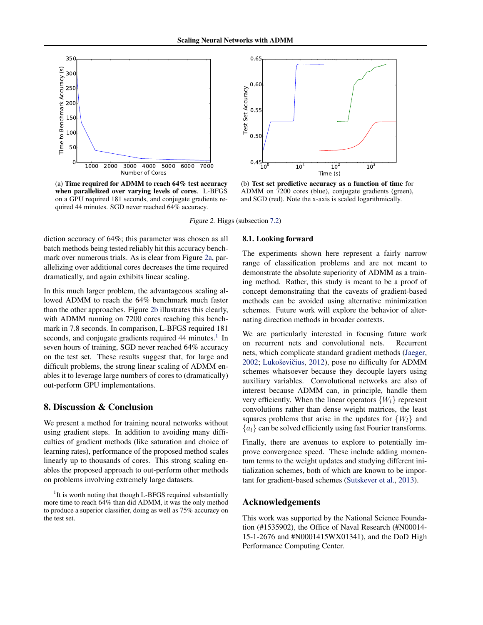<span id="page-7-0"></span>

(a) Time required for ADMM to reach 64% test accuracy when parallelized over varying levels of cores. L-BFGS on a GPU required 181 seconds, and conjugate gradients required 44 minutes. SGD never reached 64% accuracy.



(b) Test set predictive accuracy as a function of time for ADMM on 7200 cores (blue), conjugate gradients (green), and SGD (red). Note the x-axis is scaled logarithmically.

Figure 2. Higgs (subsection [7.2\)](#page-6-0)

diction accuracy of 64%; this parameter was chosen as all batch methods being tested reliably hit this accuracy benchmark over numerous trials. As is clear from Figure 2a, parallelizing over additional cores decreases the time required dramatically, and again exhibits linear scaling.

In this much larger problem, the advantageous scaling allowed ADMM to reach the 64% benchmark much faster than the other approaches. Figure 2b illustrates this clearly, with ADMM running on 7200 cores reaching this benchmark in 7.8 seconds. In comparison, L-BFGS required 181 seconds, and conjugate gradients required 44 minutes.<sup>1</sup> In seven hours of training, SGD never reached 64% accuracy on the test set. These results suggest that, for large and difficult problems, the strong linear scaling of ADMM enables it to leverage large numbers of cores to (dramatically) out-perform GPU implementations.

### 8. Discussion & Conclusion

We present a method for training neural networks without using gradient steps. In addition to avoiding many difficulties of gradient methods (like saturation and choice of learning rates), performance of the proposed method scales linearly up to thousands of cores. This strong scaling enables the proposed approach to out-perform other methods on problems involving extremely large datasets.

### 8.1. Looking forward

The experiments shown here represent a fairly narrow range of classification problems and are not meant to demonstrate the absolute superiority of ADMM as a training method. Rather, this study is meant to be a proof of concept demonstrating that the caveats of gradient-based methods can be avoided using alternative minimization schemes. Future work will explore the behavior of alternating direction methods in broader contexts.

We are particularly interested in focusing future work on recurrent nets and convolutional nets. Recurrent nets, which complicate standard gradient methods [\(Jaeger,](#page-8-0) [2002;](#page-8-0) Lukoševičius, [2012\)](#page-8-0), pose no difficulty for ADMM schemes whatsoever because they decouple layers using auxiliary variables. Convolutional networks are also of interest because ADMM can, in principle, handle them very efficiently. When the linear operators  $\{W_l\}$  represent convolutions rather than dense weight matrices, the least squares problems that arise in the updates for  $\{W_l\}$  and  ${a_l}$  can be solved efficiently using fast Fourier transforms.

Finally, there are avenues to explore to potentially improve convergence speed. These include adding momentum terms to the weight updates and studying different initialization schemes, both of which are known to be important for gradient-based schemes [\(Sutskever et al.,](#page-8-0) [2013\)](#page-8-0).

#### Acknowledgements

This work was supported by the National Science Foundation (#1535902), the Office of Naval Research (#N00014- 15-1-2676 and #N0001415WX01341), and the DoD High Performance Computing Center.

<sup>&</sup>lt;sup>1</sup>It is worth noting that though L-BFGS required substantially more time to reach 64% than did ADMM, it was the only method to produce a superior classifier, doing as well as 75% accuracy on the test set.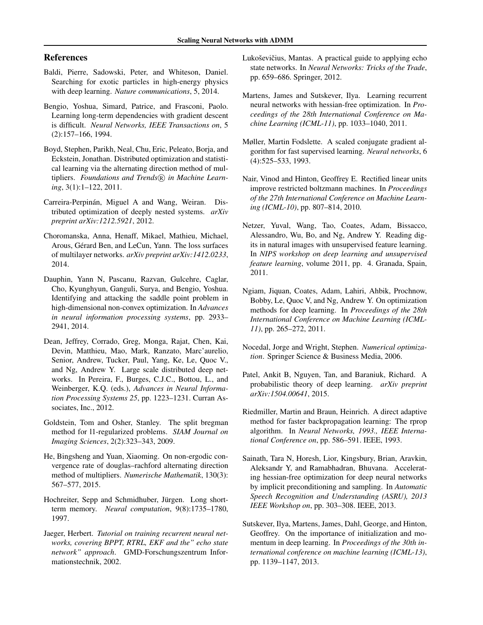# <span id="page-8-0"></span>References

- Baldi, Pierre, Sadowski, Peter, and Whiteson, Daniel. Searching for exotic particles in high-energy physics with deep learning. *Nature communications*, 5, 2014.
- Bengio, Yoshua, Simard, Patrice, and Frasconi, Paolo. Learning long-term dependencies with gradient descent is difficult. *Neural Networks, IEEE Transactions on*, 5 (2):157–166, 1994.
- Boyd, Stephen, Parikh, Neal, Chu, Eric, Peleato, Borja, and Eckstein, Jonathan. Distributed optimization and statistical learning via the alternating direction method of multipliers. Foundations and Trends<sup>®</sup> in Machine Learn*ing*, 3(1):1–122, 2011.
- Carreira-Perpinán, Miguel A and Wang, Weiran. Distributed optimization of deeply nested systems. *arXiv preprint arXiv:1212.5921*, 2012.
- Choromanska, Anna, Henaff, Mikael, Mathieu, Michael, Arous, Gérard Ben, and LeCun, Yann. The loss surfaces of multilayer networks. *arXiv preprint arXiv:1412.0233*, 2014.
- Dauphin, Yann N, Pascanu, Razvan, Gulcehre, Caglar, Cho, Kyunghyun, Ganguli, Surya, and Bengio, Yoshua. Identifying and attacking the saddle point problem in high-dimensional non-convex optimization. In *Advances in neural information processing systems*, pp. 2933– 2941, 2014.
- Dean, Jeffrey, Corrado, Greg, Monga, Rajat, Chen, Kai, Devin, Matthieu, Mao, Mark, Ranzato, Marc'aurelio, Senior, Andrew, Tucker, Paul, Yang, Ke, Le, Quoc V., and Ng, Andrew Y. Large scale distributed deep networks. In Pereira, F., Burges, C.J.C., Bottou, L., and Weinberger, K.Q. (eds.), *Advances in Neural Information Processing Systems 25*, pp. 1223–1231. Curran Associates, Inc., 2012.
- Goldstein, Tom and Osher, Stanley. The split bregman method for l1-regularized problems. *SIAM Journal on Imaging Sciences*, 2(2):323–343, 2009.
- He, Bingsheng and Yuan, Xiaoming. On non-ergodic convergence rate of douglas–rachford alternating direction method of multipliers. *Numerische Mathematik*, 130(3): 567–577, 2015.
- Hochreiter, Sepp and Schmidhuber, Jürgen. Long shortterm memory. *Neural computation*, 9(8):1735–1780, 1997.
- Jaeger, Herbert. *Tutorial on training recurrent neural networks, covering BPPT, RTRL, EKF and the" echo state network" approach*. GMD-Forschungszentrum Informationstechnik, 2002.
- Lukoševičius, Mantas. A practical guide to applying echo state networks. In *Neural Networks: Tricks of the Trade*, pp. 659–686. Springer, 2012.
- Martens, James and Sutskever, Ilya. Learning recurrent neural networks with hessian-free optimization. In *Proceedings of the 28th International Conference on Machine Learning (ICML-11)*, pp. 1033–1040, 2011.
- Møller, Martin Fodslette. A scaled conjugate gradient algorithm for fast supervised learning. *Neural networks*, 6 (4):525–533, 1993.
- Nair, Vinod and Hinton, Geoffrey E. Rectified linear units improve restricted boltzmann machines. In *Proceedings of the 27th International Conference on Machine Learning (ICML-10)*, pp. 807–814, 2010.
- Netzer, Yuval, Wang, Tao, Coates, Adam, Bissacco, Alessandro, Wu, Bo, and Ng, Andrew Y. Reading digits in natural images with unsupervised feature learning. In *NIPS workshop on deep learning and unsupervised feature learning*, volume 2011, pp. 4. Granada, Spain, 2011.
- Ngiam, Jiquan, Coates, Adam, Lahiri, Ahbik, Prochnow, Bobby, Le, Quoc V, and Ng, Andrew Y. On optimization methods for deep learning. In *Proceedings of the 28th International Conference on Machine Learning (ICML-11)*, pp. 265–272, 2011.
- Nocedal, Jorge and Wright, Stephen. *Numerical optimization*. Springer Science & Business Media, 2006.
- Patel, Ankit B, Nguyen, Tan, and Baraniuk, Richard. A probabilistic theory of deep learning. *arXiv preprint arXiv:1504.00641*, 2015.
- Riedmiller, Martin and Braun, Heinrich. A direct adaptive method for faster backpropagation learning: The rprop algorithm. In *Neural Networks, 1993., IEEE International Conference on*, pp. 586–591. IEEE, 1993.
- Sainath, Tara N, Horesh, Lior, Kingsbury, Brian, Aravkin, Aleksandr Y, and Ramabhadran, Bhuvana. Accelerating hessian-free optimization for deep neural networks by implicit preconditioning and sampling. In *Automatic Speech Recognition and Understanding (ASRU), 2013 IEEE Workshop on*, pp. 303–308. IEEE, 2013.
- Sutskever, Ilya, Martens, James, Dahl, George, and Hinton, Geoffrey. On the importance of initialization and momentum in deep learning. In *Proceedings of the 30th international conference on machine learning (ICML-13)*, pp. 1139–1147, 2013.